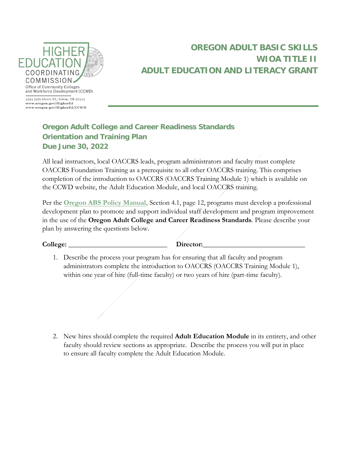

## **OREGON ADULT BASIC SKILLS WIOA TITLE II ADULT EDUCATION AND LITERACY GRANT**

www.oregon.gov/HigherEd www.oregon.gov/HigherEd/CCWD

## **Oregon Adult College and Career Readiness Standards Orientation and Training Plan Due June 30, 2022**

All lead instructors, local OACCRS leads, program administrators and faculty must complete OACCRS Foundation Training as a prerequisite to all other OACCRS training. This comprises completion of the introduction to OACCRS (OACCRS Training Module 1) which is available on the CCWD website, the Adult Education Module, and local OACCRS training.

Per the **Oregon [ABS Policy Manual,](file://hecc.or.gov/SHARED/OCCWD%20-%20Adult%20Basic%20Skills/Policy%20Manual/2019-2020/Reporting%20Documents/Program%20Planning%20and%20Reporting/2019-20_OACCRS%20Orientation%20and%20Training%20Plan%20Final%20Draft.docx)** Section 4.1, page 12, programs must develop a professional development plan to promote and support individual staff development and program improvement in the use of the **Oregon Adult College and Career Readiness Standards**. Please describe your plan by answering the questions below.

| College: |  |
|----------|--|
|          |  |

| College: | Director: |
|----------|-----------|
|----------|-----------|

1. Describe the process your program has for ensuring that all faculty and program administrators complete the introduction to OACCRS (OACCRS Training Module 1), within one year of hire (full-time faculty) or two years of hire (part-time faculty).

2. New hires should complete the required **Adult Education Module** in its entirety, and other faculty should review sections as appropriate. Describ[e the process you](mailto:HECC.ABSteam@HECC.oregon.gov) will put in place to ensure all faculty complete the Adult Education Module.